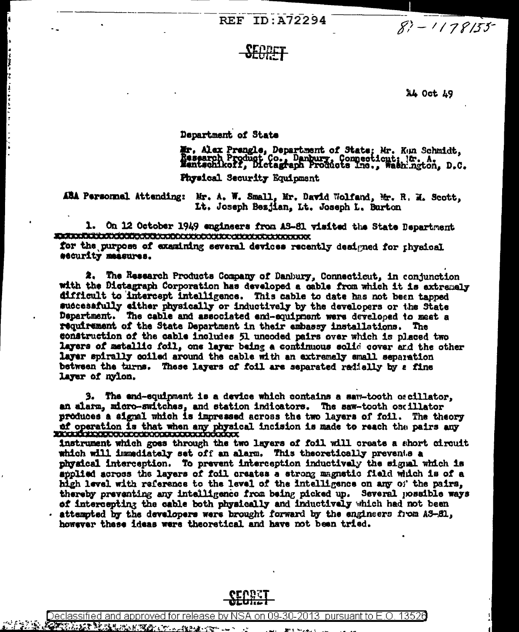**REF ID:A72294** 

 $8? - 1178155$ 

## <u>SERPFT</u>

## 14 Oct 49

Department of State

ļ

Mr. Alex Prengle, Department of State; Mr. Kun Schmidt, Research Product Co., Danbury, Connecticut; Kr. A. D.C. **Physical Security Equipment** 

ABA Personnel Attending: Mr. A. W. Small, Mr. David Wolfand, Mr. R. M. Scott, It. Joseph Bezjian, Lt. Joseph L. Burton

1. On 12 October 1949 engineers from AS-81 visited the State Department **Extertaille additional and condocuted and alternative state** 

for the purpose of examining several devices recently designed for physical security measures.

The Research Products Company of Danbury, Connecticut, in conjunction 2. with the Dictagraph Corporation has developed a cable from which it is extremely difficult to intercept intelligence. This cable to date has not been tapped successfully either physically or inductively by the developers or the State Department. The cable and associated end-equipment were developed to meet a requirement of the State Department in their embassy installations. The construction of the cable includes 51 uncoded pairs over which is placed two layers of matallic foil, one layer being a continuous solid cover and the other layer spirally coiled around the cable with an extremely small separation between the turns. These layers of foil are separated radially by a fine layer of nyion.

3. The end-equipment is a device which contains a saw-tooth oscillator, an alarm, micro-switches, and station indicators. The saw-tooth oscillator produces a signal which is impressed across the two layers of foil. The theory of operation is that when any physical incision is made to reach the pairs any exception of the pairs any

instrument which goes through the two layers of foil will create a short circuit which will immediately set off an alarm. This theoretically prevents a physical interception. To prevent interception inductively the signal which is applied across the layers of foil creates a strong magnetic field which is of a high level with reference to the level of the intelligence on any of the pairs, thereby preventing any intelligence from being picked up. Several possible ways of intercepting the cable both physically and inductively which had not been attempted by the developers were brought forward by the engineers from AS-81, however these ideas were theoretical and have not been tried.

Declassified and approved for release by N SA on 09-30-2013 pursuant to E.O. 13526

Slienterschafter (\*